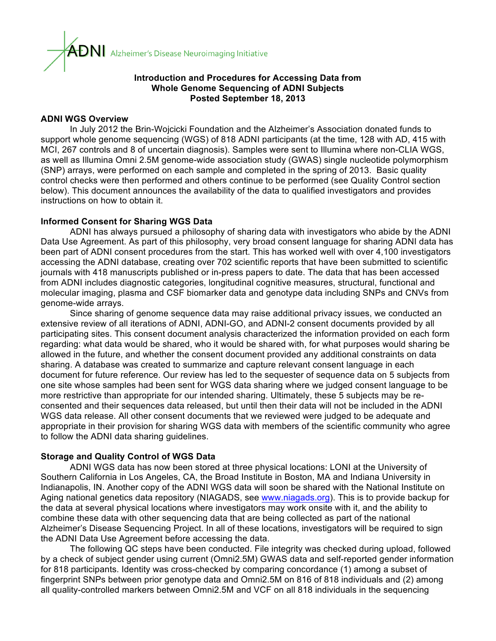

#### **Introduction and Procedures for Accessing Data from Whole Genome Sequencing of ADNI Subjects Posted September 18, 2013**

#### **ADNI WGS Overview**

In July 2012 the Brin-Wojcicki Foundation and the Alzheimer's Association donated funds to support whole genome sequencing (WGS) of 818 ADNI participants (at the time, 128 with AD, 415 with MCI, 267 controls and 8 of uncertain diagnosis). Samples were sent to Illumina where non-CLIA WGS, as well as Illumina Omni 2.5M genome-wide association study (GWAS) single nucleotide polymorphism (SNP) arrays, were performed on each sample and completed in the spring of 2013. Basic quality control checks were then performed and others continue to be performed (see Quality Control section below). This document announces the availability of the data to qualified investigators and provides instructions on how to obtain it.

#### **Informed Consent for Sharing WGS Data**

ADNI has always pursued a philosophy of sharing data with investigators who abide by the ADNI Data Use Agreement. As part of this philosophy, very broad consent language for sharing ADNI data has been part of ADNI consent procedures from the start. This has worked well with over 4,100 investigators accessing the ADNI database, creating over 702 scientific reports that have been submitted to scientific journals with 418 manuscripts published or in-press papers to date. The data that has been accessed from ADNI includes diagnostic categories, longitudinal cognitive measures, structural, functional and molecular imaging, plasma and CSF biomarker data and genotype data including SNPs and CNVs from genome-wide arrays.

Since sharing of genome sequence data may raise additional privacy issues, we conducted an extensive review of all iterations of ADNI, ADNI-GO, and ADNI-2 consent documents provided by all participating sites. This consent document analysis characterized the information provided on each form regarding: what data would be shared, who it would be shared with, for what purposes would sharing be allowed in the future, and whether the consent document provided any additional constraints on data sharing. A database was created to summarize and capture relevant consent language in each document for future reference. Our review has led to the sequester of sequence data on 5 subjects from one site whose samples had been sent for WGS data sharing where we judged consent language to be more restrictive than appropriate for our intended sharing. Ultimately, these 5 subjects may be reconsented and their sequences data released, but until then their data will not be included in the ADNI WGS data release. All other consent documents that we reviewed were judged to be adequate and appropriate in their provision for sharing WGS data with members of the scientific community who agree to follow the ADNI data sharing guidelines.

## **Storage and Quality Control of WGS Data**

ADNI WGS data has now been stored at three physical locations: LONI at the University of Southern California in Los Angeles, CA, the Broad Institute in Boston, MA and Indiana University in Indianapolis, IN. Another copy of the ADNI WGS data will soon be shared with the National Institute on Aging national genetics data repository (NIAGADS, see www.niagads.org). This is to provide backup for the data at several physical locations where investigators may work onsite with it, and the ability to combine these data with other sequencing data that are being collected as part of the national Alzheimer's Disease Sequencing Project. In all of these locations, investigators will be required to sign the ADNI Data Use Agreement before accessing the data.

The following QC steps have been conducted. File integrity was checked during upload, followed by a check of subject gender using current (Omni2.5M) GWAS data and self-reported gender information for 818 participants. Identity was cross-checked by comparing concordance (1) among a subset of fingerprint SNPs between prior genotype data and Omni2.5M on 816 of 818 individuals and (2) among all quality-controlled markers between Omni2.5M and VCF on all 818 individuals in the sequencing